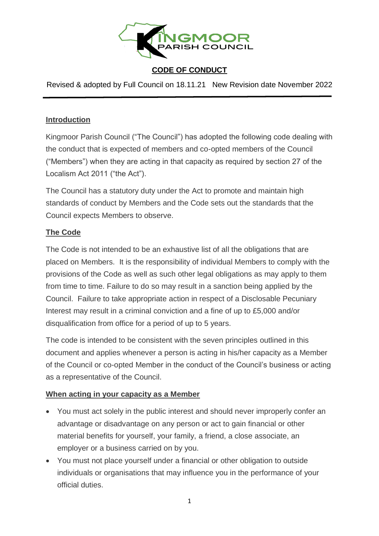

Revised & adopted by Full Council on 18.11.21 New Revision date November 2022

#### **Introduction**

Kingmoor Parish Council ("The Council") has adopted the following code dealing with the conduct that is expected of members and co-opted members of the Council ("Members") when they are acting in that capacity as required by section 27 of the Localism Act 2011 ("the Act").

The Council has a statutory duty under the Act to promote and maintain high standards of conduct by Members and the Code sets out the standards that the Council expects Members to observe.

#### **The Code**

The Code is not intended to be an exhaustive list of all the obligations that are placed on Members. It is the responsibility of individual Members to comply with the provisions of the Code as well as such other legal obligations as may apply to them from time to time. Failure to do so may result in a sanction being applied by the Council. Failure to take appropriate action in respect of a Disclosable Pecuniary Interest may result in a criminal conviction and a fine of up to £5,000 and/or disqualification from office for a period of up to 5 years.

The code is intended to be consistent with the seven principles outlined in this document and applies whenever a person is acting in his/her capacity as a Member of the Council or co-opted Member in the conduct of the Council's business or acting as a representative of the Council.

## **When acting in your capacity as a Member**

- You must act solely in the public interest and should never improperly confer an advantage or disadvantage on any person or act to gain financial or other material benefits for yourself, your family, a friend, a close associate, an employer or a business carried on by you.
- You must not place yourself under a financial or other obligation to outside individuals or organisations that may influence you in the performance of your official duties.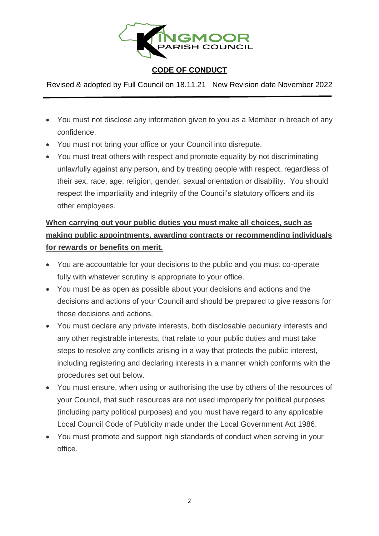

Revised & adopted by Full Council on 18.11.21 New Revision date November 2022

- You must not disclose any information given to you as a Member in breach of any confidence.
- You must not bring your office or your Council into disrepute.
- You must treat others with respect and promote equality by not discriminating unlawfully against any person, and by treating people with respect, regardless of their sex, race, age, religion, gender, sexual orientation or disability. You should respect the impartiality and integrity of the Council's statutory officers and its other employees.

# **When carrying out your public duties you must make all choices, such as making public appointments, awarding contracts or recommending individuals for rewards or benefits on merit.**

- You are accountable for your decisions to the public and you must co-operate fully with whatever scrutiny is appropriate to your office.
- You must be as open as possible about your decisions and actions and the decisions and actions of your Council and should be prepared to give reasons for those decisions and actions.
- You must declare any private interests, both disclosable pecuniary interests and any other registrable interests, that relate to your public duties and must take steps to resolve any conflicts arising in a way that protects the public interest, including registering and declaring interests in a manner which conforms with the procedures set out below.
- You must ensure, when using or authorising the use by others of the resources of your Council, that such resources are not used improperly for political purposes (including party political purposes) and you must have regard to any applicable Local Council Code of Publicity made under the Local Government Act 1986.
- You must promote and support high standards of conduct when serving in your office.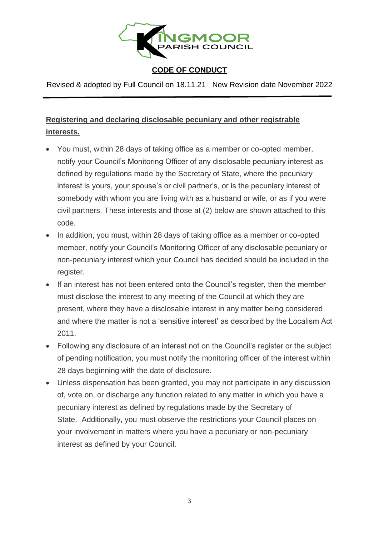

Revised & adopted by Full Council on 18.11.21 New Revision date November 2022

# **Registering and declaring disclosable pecuniary and other registrable interests.**

- You must, within 28 days of taking office as a member or co-opted member, notify your Council's Monitoring Officer of any disclosable pecuniary interest as defined by regulations made by the Secretary of State, where the pecuniary interest is yours, your spouse's or civil partner's, or is the pecuniary interest of somebody with whom you are living with as a husband or wife, or as if you were civil partners. These interests and those at (2) below are shown attached to this code.
- In addition, you must, within 28 days of taking office as a member or co-opted member, notify your Council's Monitoring Officer of any disclosable pecuniary or non-pecuniary interest which your Council has decided should be included in the register.
- If an interest has not been entered onto the Council's register, then the member must disclose the interest to any meeting of the Council at which they are present, where they have a disclosable interest in any matter being considered and where the matter is not a 'sensitive interest' as described by the Localism Act 2011.
- Following any disclosure of an interest not on the Council's register or the subject of pending notification, you must notify the monitoring officer of the interest within 28 days beginning with the date of disclosure.
- Unless dispensation has been granted, you may not participate in any discussion of, vote on, or discharge any function related to any matter in which you have a pecuniary interest as defined by regulations made by the Secretary of State. Additionally, you must observe the restrictions your Council places on your involvement in matters where you have a pecuniary or non-pecuniary interest as defined by your Council.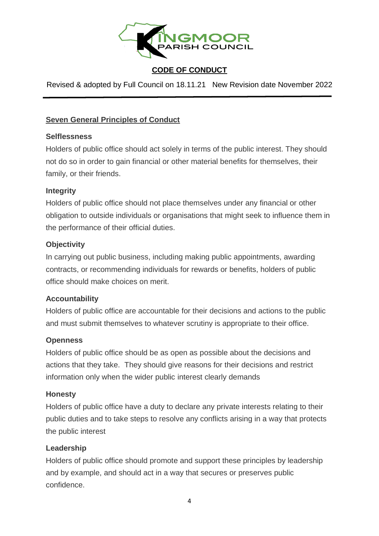

Revised & adopted by Full Council on 18.11.21 New Revision date November 2022

# **Seven General Principles of Conduct**

#### **Selflessness**

Holders of public office should act solely in terms of the public interest. They should not do so in order to gain financial or other material benefits for themselves, their family, or their friends.

#### **Integrity**

Holders of public office should not place themselves under any financial or other obligation to outside individuals or organisations that might seek to influence them in the performance of their official duties.

## **Objectivity**

In carrying out public business, including making public appointments, awarding contracts, or recommending individuals for rewards or benefits, holders of public office should make choices on merit.

## **Accountability**

Holders of public office are accountable for their decisions and actions to the public and must submit themselves to whatever scrutiny is appropriate to their office.

## **Openness**

Holders of public office should be as open as possible about the decisions and actions that they take. They should give reasons for their decisions and restrict information only when the wider public interest clearly demands

#### **Honesty**

Holders of public office have a duty to declare any private interests relating to their public duties and to take steps to resolve any conflicts arising in a way that protects the public interest

## **Leadership**

Holders of public office should promote and support these principles by leadership and by example, and should act in a way that secures or preserves public confidence.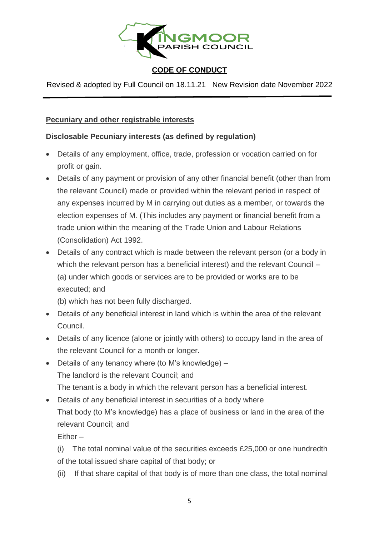

Revised & adopted by Full Council on 18.11.21 New Revision date November 2022

#### **Pecuniary and other registrable interests**

## **Disclosable Pecuniary interests (as defined by regulation)**

- Details of any employment, office, trade, profession or vocation carried on for profit or gain.
- Details of any payment or provision of any other financial benefit (other than from the relevant Council) made or provided within the relevant period in respect of any expenses incurred by M in carrying out duties as a member, or towards the election expenses of M. (This includes any payment or financial benefit from a trade union within the meaning of the Trade Union and Labour Relations (Consolidation) Act 1992.
- Details of any contract which is made between the relevant person (or a body in which the relevant person has a beneficial interest) and the relevant Council – (a) under which goods or services are to be provided or works are to be executed; and

(b) which has not been fully discharged.

- Details of any beneficial interest in land which is within the area of the relevant Council.
- Details of any licence (alone or jointly with others) to occupy land in the area of the relevant Council for a month or longer.
- Details of any tenancy where (to M's knowledge) The landlord is the relevant Council; and The tenant is a body in which the relevant person has a beneficial interest.
- Details of any beneficial interest in securities of a body where That body (to M's knowledge) has a place of business or land in the area of the relevant Council; and

Either –

(i) The total nominal value of the securities exceeds £25,000 or one hundredth of the total issued share capital of that body; or

(ii) If that share capital of that body is of more than one class, the total nominal